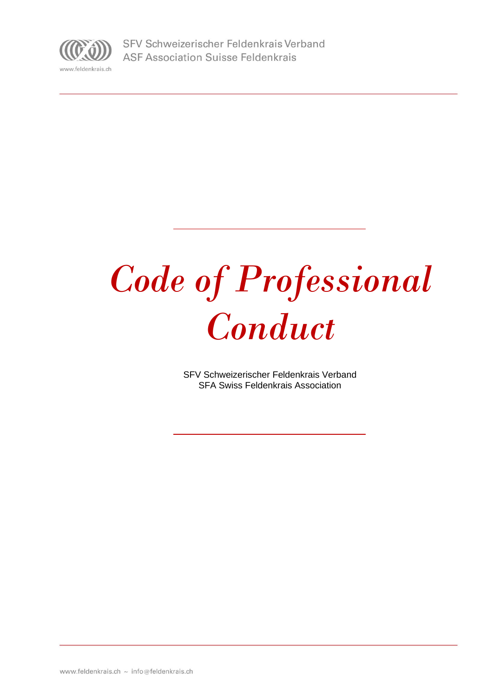

# *Code of Professional Conduct*

SFV Schweizerischer Feldenkrais Verband SFA Swiss Feldenkrais Association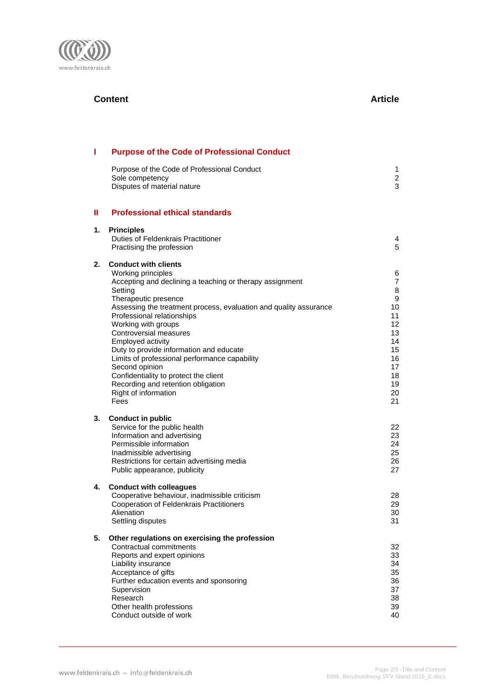

# **Content Article**

| Ш  | <b>Purpose of the Code of Professional Conduct</b>                                                                                                                                                                                                                                                                                                                                                                                                                                                                                                     |                                                                                                       |
|----|--------------------------------------------------------------------------------------------------------------------------------------------------------------------------------------------------------------------------------------------------------------------------------------------------------------------------------------------------------------------------------------------------------------------------------------------------------------------------------------------------------------------------------------------------------|-------------------------------------------------------------------------------------------------------|
|    | Purpose of the Code of Professional Conduct<br>Sole competency<br>Disputes of material nature                                                                                                                                                                                                                                                                                                                                                                                                                                                          | 1<br>$\overline{c}$<br>3                                                                              |
| Ш  | <b>Professional ethical standards</b>                                                                                                                                                                                                                                                                                                                                                                                                                                                                                                                  |                                                                                                       |
| 1. | <b>Principles</b><br>Duties of Feldenkrais Practitioner<br>Practising the profession                                                                                                                                                                                                                                                                                                                                                                                                                                                                   | 4<br>5                                                                                                |
| 2. | <b>Conduct with clients</b><br>Working principles<br>Accepting and declining a teaching or therapy assignment<br>Setting<br>Therapeutic presence<br>Assessing the treatment process, evaluation and quality assurance<br>Professional relationships<br>Working with groups<br>Controversial measures<br>Employed activity<br>Duty to provide information and educate<br>Limits of professional performance capability<br>Second opinion<br>Confidentiality to protect the client<br>Recording and retention obligation<br>Right of information<br>Fees | 6<br>$\overline{7}$<br>8<br>9<br>10<br>11<br>12<br>13<br>14<br>15<br>16<br>17<br>18<br>19<br>20<br>21 |
| 3. | <b>Conduct in public</b><br>Service for the public health<br>Information and advertising<br>Permissible information<br>Inadmissible advertising<br>Restrictions for certain advertising media<br>Public appearance, publicity                                                                                                                                                                                                                                                                                                                          | 22<br>23<br>24<br>25<br>26<br>27                                                                      |
| 4. | <b>Conduct with colleagues</b><br>Cooperative behaviour, inadmissible criticism<br><b>Cooperation of Feldenkrais Practitioners</b><br>Alienation<br>Settling disputes                                                                                                                                                                                                                                                                                                                                                                                  | 28<br>29<br>30<br>31                                                                                  |
| 5. | Other regulations on exercising the profession<br>Contractual commitments<br>Reports and expert opinions<br>Liability insurance<br>Acceptance of gifts<br>Further education events and sponsoring<br>Supervision<br>Research<br>Other health professions<br>Conduct outside of work                                                                                                                                                                                                                                                                    | 32<br>33<br>34<br>35<br>36<br>37<br>38<br>39<br>40                                                    |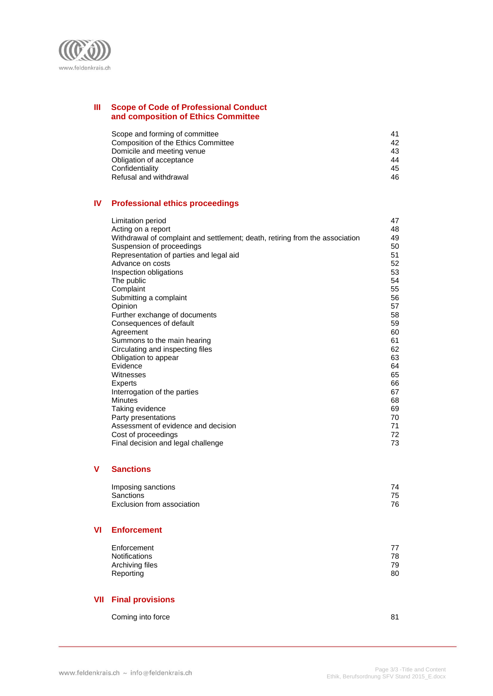

# **III Scope of Code of Professional Conduct and composition of Ethics Committee**

| Scope and forming of committee      | 41 |
|-------------------------------------|----|
| Composition of the Ethics Committee | 42 |
| Domicile and meeting venue          | 43 |
| Obligation of acceptance            | 44 |
| Confidentiality                     | 45 |
| Refusal and withdrawal              | 46 |

# **IV Professional ethics proceedings**

| Limitation period                                                            | 47 |
|------------------------------------------------------------------------------|----|
| Acting on a report                                                           | 48 |
| Withdrawal of complaint and settlement; death, retiring from the association | 49 |
| Suspension of proceedings                                                    | 50 |
| Representation of parties and legal aid                                      | 51 |
| Advance on costs                                                             | 52 |
| Inspection obligations                                                       | 53 |
| The public                                                                   | 54 |
| Complaint                                                                    | 55 |
| Submitting a complaint                                                       | 56 |
| Opinion                                                                      | 57 |
| Further exchange of documents                                                | 58 |
| Consequences of default                                                      | 59 |
| Agreement                                                                    | 60 |
| Summons to the main hearing                                                  | 61 |
| Circulating and inspecting files                                             | 62 |
| Obligation to appear                                                         | 63 |
| Evidence                                                                     | 64 |
| Witnesses                                                                    | 65 |
| <b>Experts</b>                                                               | 66 |
| Interrogation of the parties                                                 | 67 |
| <b>Minutes</b>                                                               | 68 |
| Taking evidence                                                              | 69 |
| Party presentations                                                          | 70 |
| Assessment of evidence and decision                                          | 71 |
| Cost of proceedings                                                          | 72 |
| Final decision and legal challenge                                           | 73 |

# **V Sanctions**

# **VI Enforcement**

| Enforcement     | 77 |
|-----------------|----|
| Notifications   | 78 |
| Archiving files | 79 |
| Reporting       | 80 |

# **VII Final provisions**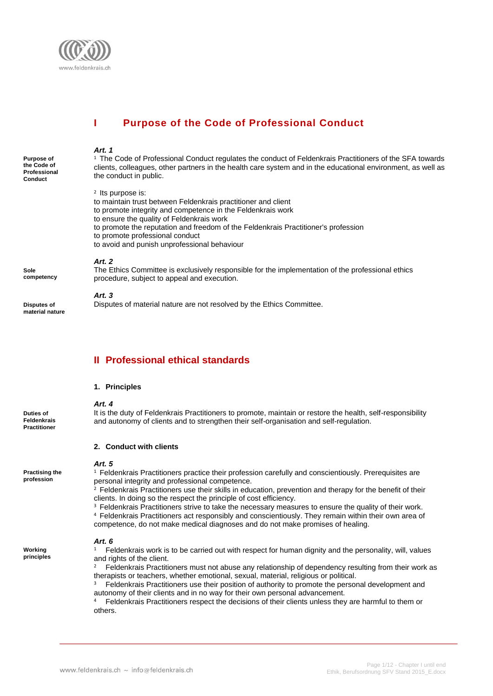

# **I Purpose of the Code of Professional Conduct**

#### *Art. 1*

<sup>1</sup> The Code of Professional Conduct regulates the conduct of Feldenkrais Practitioners of the SFA towards clients, colleagues, other partners in the health care system and in the educational environment, as well as the conduct in public.

2 Its purpose is:

- to maintain trust between Feldenkrais practitioner and client
- to promote integrity and competence in the Feldenkrais work
- to ensure the quality of Feldenkrais work
- to promote the reputation and freedom of the Feldenkrais Practitioner's profession
- to promote professional conduct
- to avoid and punish unprofessional behaviour

#### *Art. 2*

The Ethics Committee is exclusively responsible for the implementation of the professional ethics procedure, subject to appeal and execution.

## *Art. 3*

Disputes of material nature are not resolved by the Ethics Committee.

# **II Professional ethical standards**

#### **1. Principles**

#### **Duties of Feldenkrais Practitioner**

**Practising the profession**

**Purpose of the Code of Professional Conduct**

**Sole competency**

**Disputes of material nature**

> *Art. 4* It is the duty of Feldenkrais Practitioners to promote, maintain or restore the health, self-responsibility and autonomy of clients and to strengthen their self-organisation and self-regulation.

#### **2. Conduct with clients**

#### *Art. 5*

<sup>1</sup> Feldenkrais Practitioners practice their profession carefully and conscientiously. Prerequisites are personal integrity and professional competence.

<sup>2</sup> Feldenkrais Practitioners use their skills in education, prevention and therapy for the benefit of their clients. In doing so the respect the principle of cost efficiency.

- <sup>3</sup> Feldenkrais Practitioners strive to take the necessary measures to ensure the quality of their work.
- <sup>4</sup> Feldenkrais Practitioners act responsibly and conscientiously. They remain within their own area of competence, do not make medical diagnoses and do not make promises of healing.

# *Art. 6*

**Working principles**  $1$  Feldenkrais work is to be carried out with respect for human dignity and the personality, will, values and rights of the client.

Feldenkrais Practitioners must not abuse any relationship of dependency resulting from their work as therapists or teachers, whether emotional, sexual, material, religious or political.

Feldenkrais Practitioners use their position of authority to promote the personal development and autonomy of their clients and in no way for their own personal advancement.

<sup>4</sup> Feldenkrais Practitioners respect the decisions of their clients unless they are harmful to them or others.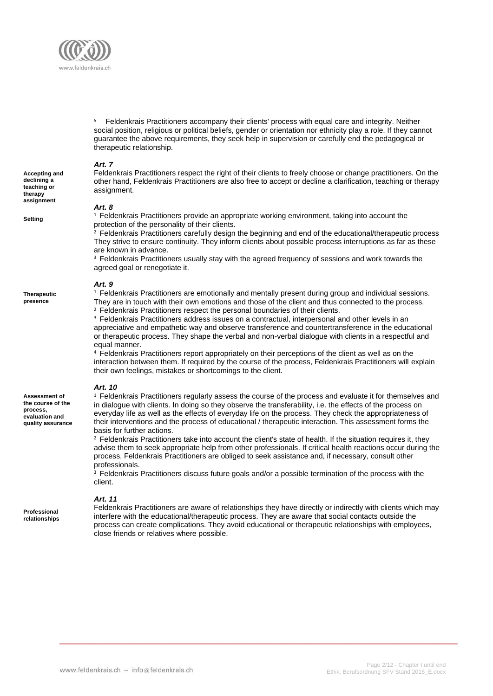

<sup>5</sup> Feldenkrais Practitioners accompany their clients' process with equal care and integrity. Neither social position, religious or political beliefs, gender or orientation nor ethnicity play a role. If they cannot guarantee the above requirements, they seek help in supervision or carefully end the pedagogical or therapeutic relationship.

#### *Art. 7*

**Accepting and declining a teaching or therapy assignment**

**Setting**

**Therapeutic presence**

**Assessment of the course of the process, evaluation and quality assurance** Feldenkrais Practitioners respect the right of their clients to freely choose or change practitioners. On the other hand, Feldenkrais Practitioners are also free to accept or decline a clarification, teaching or therapy assignment.

#### *Art. 8*

<sup>1</sup> Feldenkrais Practitioners provide an appropriate working environment, taking into account the protection of the personality of their clients.

 $2$  Feldenkrais Practitioners carefully design the beginning and end of the educational/therapeutic process They strive to ensure continuity. They inform clients about possible process interruptions as far as these are known in advance.

<sup>3</sup> Feldenkrais Practitioners usually stay with the agreed frequency of sessions and work towards the agreed goal or renegotiate it.

#### *Art. 9*

<sup>1</sup> Feldenkrais Practitioners are emotionally and mentally present during group and individual sessions. They are in touch with their own emotions and those of the client and thus connected to the process.

<sup>2</sup> Feldenkrais Practitioners respect the personal boundaries of their clients.

<sup>3</sup> Feldenkrais Practitioners address issues on a contractual, interpersonal and other levels in an appreciative and empathetic way and observe transference and countertransference in the educational or therapeutic process. They shape the verbal and non-verbal dialogue with clients in a respectful and equal manner.

<sup>4</sup> Feldenkrais Practitioners report appropriately on their perceptions of the client as well as on the interaction between them. If required by the course of the process, Feldenkrais Practitioners will explain their own feelings, mistakes or shortcomings to the client.

#### *Art. 10*

<sup>1</sup> Feldenkrais Practitioners regularly assess the course of the process and evaluate it for themselves and in dialogue with clients. In doing so they observe the transferability, i.e. the effects of the process on everyday life as well as the effects of everyday life on the process. They check the appropriateness of their interventions and the process of educational / therapeutic interaction. This assessment forms the basis for further actions.

 $2$  Feldenkrais Practitioners take into account the client's state of health. If the situation requires it, they advise them to seek appropriate help from other professionals. If critical health reactions occur during the process, Feldenkrais Practitioners are obliged to seek assistance and, if necessary, consult other professionals.

<sup>3</sup> Feldenkrais Practitioners discuss future goals and/or a possible termination of the process with the client.

interfere with the educational/therapeutic process. They are aware that social contacts outside the process can create complications. They avoid educational or therapeutic relationships with employees,

**Professional relationships** *Art. 11*  Feldenkrais Practitioners are aware of relationships they have directly or indirectly with clients which may

close friends or relatives where possible.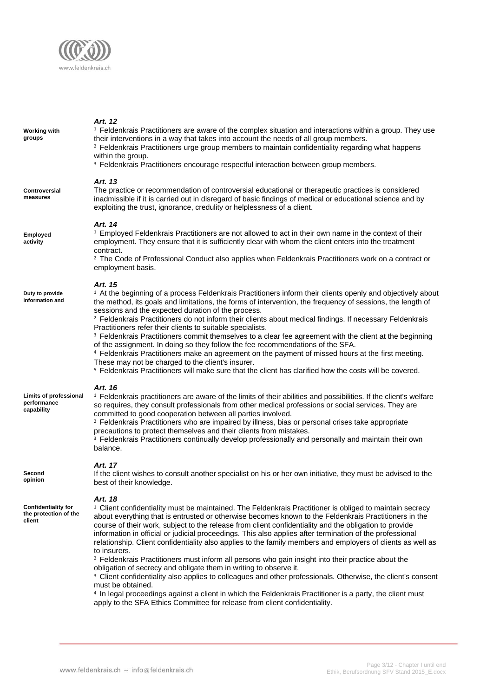

| Working with<br>groups                                        | Art. 12<br><sup>1</sup> Feldenkrais Practitioners are aware of the complex situation and interactions within a group. They use<br>their interventions in a way that takes into account the needs of all group members.<br><sup>2</sup> Feldenkrais Practitioners urge group members to maintain confidentiality regarding what happens<br>within the group.<br><sup>3</sup> Feldenkrais Practitioners encourage respectful interaction between group members.                                                                                                                                                                                                                                                                                                                                                                                                                                                                                                                                                                                              |
|---------------------------------------------------------------|------------------------------------------------------------------------------------------------------------------------------------------------------------------------------------------------------------------------------------------------------------------------------------------------------------------------------------------------------------------------------------------------------------------------------------------------------------------------------------------------------------------------------------------------------------------------------------------------------------------------------------------------------------------------------------------------------------------------------------------------------------------------------------------------------------------------------------------------------------------------------------------------------------------------------------------------------------------------------------------------------------------------------------------------------------|
| <b>Controversial</b><br>measures                              | Art. 13<br>The practice or recommendation of controversial educational or therapeutic practices is considered<br>inadmissible if it is carried out in disregard of basic findings of medical or educational science and by<br>exploiting the trust, ignorance, credulity or helplessness of a client.                                                                                                                                                                                                                                                                                                                                                                                                                                                                                                                                                                                                                                                                                                                                                      |
| Employed<br>activity                                          | Art. 14<br><sup>1</sup> Employed Feldenkrais Practitioners are not allowed to act in their own name in the context of their<br>employment. They ensure that it is sufficiently clear with whom the client enters into the treatment<br>contract.<br><sup>2</sup> The Code of Professional Conduct also applies when Feldenkrais Practitioners work on a contract or<br>employment basis.                                                                                                                                                                                                                                                                                                                                                                                                                                                                                                                                                                                                                                                                   |
| Duty to provide<br>information and                            | Art. 15<br><sup>1</sup> At the beginning of a process Feldenkrais Practitioners inform their clients openly and objectively about<br>the method, its goals and limitations, the forms of intervention, the frequency of sessions, the length of<br>sessions and the expected duration of the process.<br><sup>2</sup> Feldenkrais Practitioners do not inform their clients about medical findings. If necessary Feldenkrais<br>Practitioners refer their clients to suitable specialists.<br><sup>3</sup> Feldenkrais Practitioners commit themselves to a clear fee agreement with the client at the beginning<br>of the assignment. In doing so they follow the fee recommendations of the SFA.<br><sup>4</sup> Feldenkrais Practitioners make an agreement on the payment of missed hours at the first meeting.<br>These may not be charged to the client's insurer.<br><sup>5</sup> Feldenkrais Practitioners will make sure that the client has clarified how the costs will be covered.                                                             |
| <b>Limits of professional</b><br>performance<br>capability    | Art. 16<br><sup>1</sup> Feldenkrais practitioners are aware of the limits of their abilities and possibilities. If the client's welfare<br>so requires, they consult professionals from other medical professions or social services. They are<br>committed to good cooperation between all parties involved.<br><sup>2</sup> Feldenkrais Practitioners who are impaired by illness, bias or personal crises take appropriate<br>precautions to protect themselves and their clients from mistakes.<br><sup>3</sup> Feldenkrais Practitioners continually develop professionally and personally and maintain their own<br>balance.                                                                                                                                                                                                                                                                                                                                                                                                                         |
| Second<br>opinion                                             | Art. 17<br>If the client wishes to consult another specialist on his or her own initiative, they must be advised to the<br>best of their knowledge.                                                                                                                                                                                                                                                                                                                                                                                                                                                                                                                                                                                                                                                                                                                                                                                                                                                                                                        |
| <b>Confidentiality for</b><br>the protection of the<br>client | Art. 18<br><sup>1</sup> Client confidentiality must be maintained. The Feldenkrais Practitioner is obliged to maintain secrecy<br>about everything that is entrusted or otherwise becomes known to the Feldenkrais Practitioners in the<br>course of their work, subject to the release from client confidentiality and the obligation to provide<br>information in official or judicial proceedings. This also applies after termination of the professional<br>relationship. Client confidentiality also applies to the family members and employers of clients as well as<br>to insurers.<br><sup>2</sup> Feldenkrais Practitioners must inform all persons who gain insight into their practice about the<br>obligation of secrecy and obligate them in writing to observe it.<br><sup>3</sup> Client confidentiality also applies to colleagues and other professionals. Otherwise, the client's consent<br>must be obtained.<br><sup>4</sup> In legal proceedings against a client in which the Feldenkrais Practitioner is a party, the client must |

apply to the SFA Ethics Committee for release from client confidentiality.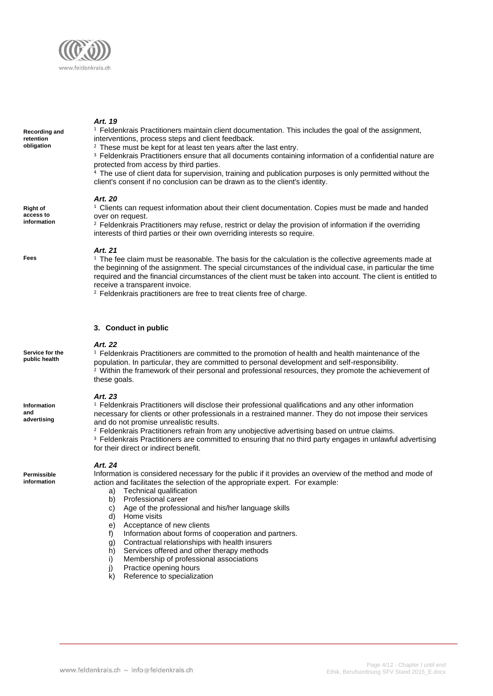

**Recording and retention obligation**

<sup>1</sup> Feldenkrais Practitioners maintain client documentation. This includes the goal of the assignment, interventions, process steps and client feedback.

<sup>2</sup> These must be kept for at least ten years after the last entry.

<sup>3</sup> Feldenkrais Practitioners ensure that all documents containing information of a confidential nature are protected from access by third parties.

The use of client data for supervision, training and publication purposes is only permitted without the client's consent if no conclusion can be drawn as to the client's identity.

#### *Art. 20*

<sup>1</sup> Clients can request information about their client documentation. Copies must be made and handed over on request.

<sup>2</sup> Feldenkrais Practitioners may refuse, restrict or delay the provision of information if the overriding interests of third parties or their own overriding interests so require.

#### *Art. 21*

 $1$  The fee claim must be reasonable. The basis for the calculation is the collective agreements made at the beginning of the assignment. The special circumstances of the individual case, in particular the time required and the financial circumstances of the client must be taken into account. The client is entitled to receive a transparent invoice.

<sup>2</sup> Feldenkrais practitioners are free to treat clients free of charge.

#### **3. Conduct in public**

#### *Art. 22*

<sup>1</sup> Feldenkrais Practitioners are committed to the promotion of health and health maintenance of the population. In particular, they are committed to personal development and self-responsibility. <sup>2</sup> Within the framework of their personal and professional resources, they promote the achievement of these goals.

#### *Art. 23*

<sup>1</sup> Feldenkrais Practitioners will disclose their professional qualifications and any other information necessary for clients or other professionals in a restrained manner. They do not impose their services and do not promise unrealistic results.

<sup>2</sup> Feldenkrais Practitioners refrain from any unobjective advertising based on untrue claims.

<sup>3</sup> Feldenkrais Practitioners are committed to ensuring that no third party engages in unlawful advertising for their direct or indirect benefit.

#### *Art. 24*

Information is considered necessary for the public if it provides an overview of the method and mode of action and facilitates the selection of the appropriate expert. For example:

- a) Technical qualification
- b) Professional career
- c) Age of the professional and his/her language skills
- d) Home visits
- e) Acceptance of new clients
- f) Information about forms of cooperation and partners.
- g) Contractual relationships with health insurers
- h) Services offered and other therapy methods
- i) Membership of professional associations
- j) Practice opening hours
- k) Reference to specialization

**Right of access to information**

**Fees**

**Service for the public health**

**Information and advertising**

**Permissible information**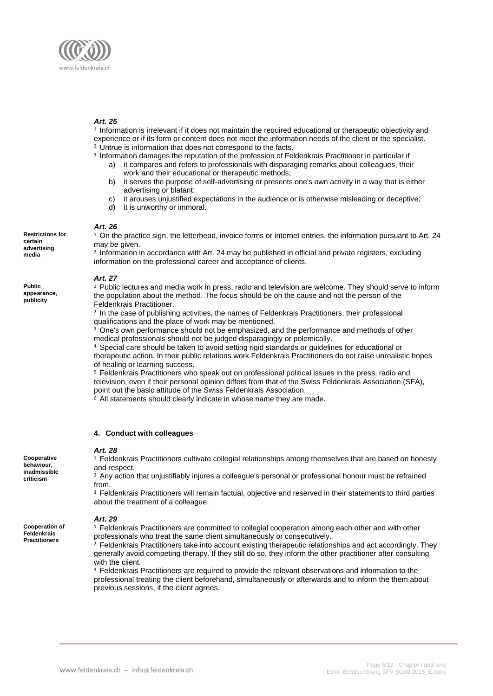

1 Information is irrelevant if it does not maintain the required educational or therapeutic objectivity and experience or if its form or content does not meet the information needs of the client or the specialist. <sup>2</sup> Untrue is information that does not correspond to the facts.

- <sup>3</sup> Information damages the reputation of the profession of Feldenkrais Practitioner in particular if
	- a) it compares and refers to professionals with disparaging remarks about colleagues, their work and their educational or therapeutic methods;
	- b) it serves the purpose of self-advertising or presents one's own activity in a way that is either advertising or blatant;
	- c) it arouses unjustified expectations in the audience or is otherwise misleading or deceptive;
	- d) it is unworthy or immoral.

## *Art. 26*

<sup>1</sup> On the practice sign, the letterhead, invoice forms or internet entries, the information pursuant to Art. 24 may be given.

2 Information in accordance with Art. 24 may be published in official and private registers, excluding information on the professional career and acceptance of clients.

#### *Art. 27*

<sup>1</sup> Public lectures and media work in press, radio and television are welcome. They should serve to inform the population about the method. The focus should be on the cause and not the person of the Feldenkrais Practitioner.

2 In the case of publishing activities, the names of Feldenkrais Practitioners, their professional qualifications and the place of work may be mentioned.

<sup>3</sup> One's own performance should not be emphasized, and the performance and methods of other medical professionals should not be judged disparagingly or polemically.

<sup>4</sup> Special care should be taken to avoid setting rigid standards or guidelines for educational or therapeutic action. In their public relations work Feldenkrais Practitioners do not raise unrealistic hopes

of healing or learning success.

<sup>5</sup> Feldenkrais Practitioners who speak out on professional political issues in the press, radio and television, even if their personal opinion differs from that of the Swiss Feldenkrais Association (SFA), point out the basic attitude of the Swiss Feldenkrais Association.

<sup>6</sup> All statements should clearly indicate in whose name they are made.

#### **4. Conduct with colleagues**

#### *Art. 28*

<sup>1</sup> Feldenkrais Practitioners cultivate collegial relationships among themselves that are based on honesty and respect.

<sup>2</sup> Any action that unjustifiably injures a colleague's personal or professional honour must be refrained from.

<sup>3</sup> Feldenkrais Practitioners will remain factual, objective and reserved in their statements to third parties about the treatment of a colleague.

#### *Art. 29*

<sup>1</sup> Feldenkrais Practitioners are committed to collegial cooperation among each other and with other professionals who treat the same client simultaneously or consecutively.

<sup>2</sup> Feldenkrais Practitioners take into account existing therapeutic relationships and act accordingly. They generally avoid competing therapy. If they still do so, they inform the other practitioner after consulting with the client.

<sup>3</sup> Feldenkrais Practitioners are required to provide the relevant observations and information to the professional treating the client beforehand, simultaneously or afterwards and to inform the them about previous sessions, if the client agrees.

**Restrictions for certain advertising media**

**Public appearance, publicity**

**Cooperative behaviour, inadmissible criticism**

**Cooperation of Feldenkrais Practitioners**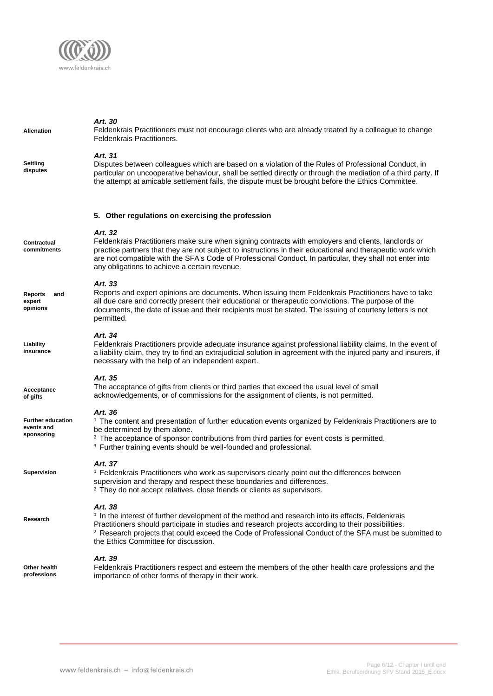

| <b>Alienation</b>                                    | Art. 30<br>Feldenkrais Practitioners must not encourage clients who are already treated by a colleague to change<br>Feldenkrais Practitioners.                                                                                                                                                                                                                                              |
|------------------------------------------------------|---------------------------------------------------------------------------------------------------------------------------------------------------------------------------------------------------------------------------------------------------------------------------------------------------------------------------------------------------------------------------------------------|
| Settling<br>disputes                                 | Art. 31<br>Disputes between colleagues which are based on a violation of the Rules of Professional Conduct, in<br>particular on uncooperative behaviour, shall be settled directly or through the mediation of a third party. If<br>the attempt at amicable settlement fails, the dispute must be brought before the Ethics Committee.                                                      |
|                                                      | 5. Other regulations on exercising the profession                                                                                                                                                                                                                                                                                                                                           |
| Contractual<br>commitments                           | Art. 32<br>Feldenkrais Practitioners make sure when signing contracts with employers and clients, landlords or<br>practice partners that they are not subject to instructions in their educational and therapeutic work which<br>are not compatible with the SFA's Code of Professional Conduct. In particular, they shall not enter into<br>any obligations to achieve a certain revenue.  |
| <b>Reports</b><br>and<br>expert<br>opinions          | Art. 33<br>Reports and expert opinions are documents. When issuing them Feldenkrais Practitioners have to take<br>all due care and correctly present their educational or therapeutic convictions. The purpose of the<br>documents, the date of issue and their recipients must be stated. The issuing of courtesy letters is not<br>permitted.                                             |
| Liability<br>insurance                               | Art. 34<br>Feldenkrais Practitioners provide adequate insurance against professional liability claims. In the event of<br>a liability claim, they try to find an extrajudicial solution in agreement with the injured party and insurers, if<br>necessary with the help of an independent expert.                                                                                           |
| Acceptance<br>of gifts                               | Art. 35<br>The acceptance of gifts from clients or third parties that exceed the usual level of small<br>acknowledgements, or of commissions for the assignment of clients, is not permitted.                                                                                                                                                                                               |
| <b>Further education</b><br>events and<br>sponsoring | Art. 36<br><sup>1</sup> The content and presentation of further education events organized by Feldenkrais Practitioners are to<br>be determined by them alone.<br><sup>2</sup> The acceptance of sponsor contributions from third parties for event costs is permitted.<br><sup>3</sup> Further training events should be well-founded and professional.                                    |
| <b>Supervision</b>                                   | Art. 37<br><sup>1</sup> Feldenkrais Practitioners who work as supervisors clearly point out the differences between<br>supervision and therapy and respect these boundaries and differences.<br><sup>2</sup> They do not accept relatives, close friends or clients as supervisors.                                                                                                         |
| Research                                             | Art. 38<br><sup>1</sup> In the interest of further development of the method and research into its effects, Feldenkrais<br>Practitioners should participate in studies and research projects according to their possibilities.<br><sup>2</sup> Research projects that could exceed the Code of Professional Conduct of the SFA must be submitted to<br>the Ethics Committee for discussion. |
| Other health<br>professions                          | Art. 39<br>Feldenkrais Practitioners respect and esteem the members of the other health care professions and the<br>importance of other forms of therapy in their work.                                                                                                                                                                                                                     |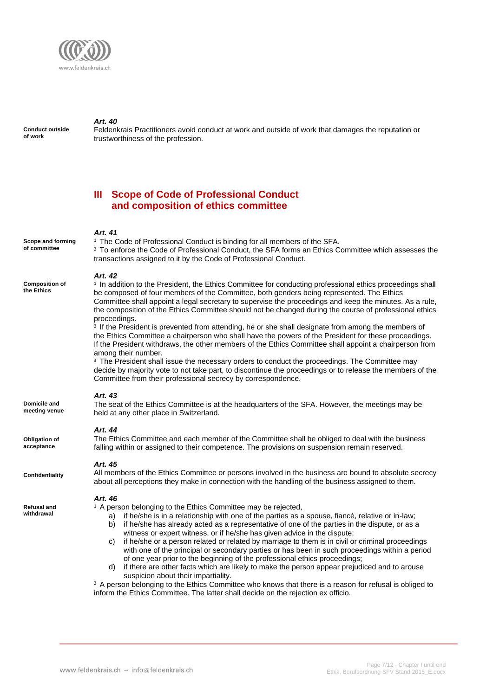

**Conduct outside of work**

Feldenkrais Practitioners avoid conduct at work and outside of work that damages the reputation or trustworthiness of the profession.

# **III Scope of Code of Professional Conduct and composition of ethics committee**

#### *Art. 41*

**Scope and forming of committee** 

**Composition of the Ethics** 

<sup>1</sup> The Code of Professional Conduct is binding for all members of the SFA. <sup>2</sup> To enforce the Code of Professional Conduct, the SFA forms an Ethics Committee which assesses the transactions assigned to it by the Code of Professional Conduct.

#### *Art. 42*

<sup>1</sup> In addition to the President, the Ethics Committee for conducting professional ethics proceedings shall be composed of four members of the Committee, both genders being represented. The Ethics Committee shall appoint a legal secretary to supervise the proceedings and keep the minutes. As a rule, the composition of the Ethics Committee should not be changed during the course of professional ethics proceedings.

<sup>2</sup> If the President is prevented from attending, he or she shall designate from among the members of the Ethics Committee a chairperson who shall have the powers of the President for these proceedings. If the President withdraws, the other members of the Ethics Committee shall appoint a chairperson from among their number.

<sup>3</sup> The President shall issue the necessary orders to conduct the proceedings. The Committee may decide by majority vote to not take part, to discontinue the proceedings or to release the members of the Committee from their professional secrecy by correspondence.

## *Art. 43*

The seat of the Ethics Committee is at the headquarters of the SFA. However, the meetings may be held at any other place in Switzerland.

### *Art. 44*

The Ethics Committee and each member of the Committee shall be obliged to deal with the business falling within or assigned to their competence. The provisions on suspension remain reserved.

### *Art. 45*

All members of the Ethics Committee or persons involved in the business are bound to absolute secrecy about all perceptions they make in connection with the handling of the business assigned to them.

#### *Art. 46*

<sup>1</sup> A person belonging to the Ethics Committee may be rejected,

- a) if he/she is in a relationship with one of the parties as a spouse, fiancé, relative or in-law; b) if he/she has already acted as a representative of one of the parties in the dispute, or as a
- witness or expert witness, or if he/she has given advice in the dispute; c) if he/she or a person related or related by marriage to them is in civil or criminal proceedings with one of the principal or secondary parties or has been in such proceedings within a period of one year prior to the beginning of the professional ethics proceedings;
- d) if there are other facts which are likely to make the person appear prejudiced and to arouse suspicion about their impartiality.

 $2$  A person belonging to the Ethics Committee who knows that there is a reason for refusal is obliged to inform the Ethics Committee. The latter shall decide on the rejection ex officio.

**Domicile and meeting venue**

**Obligation of acceptance**

**Confidentiality**

**Refusal and withdrawal**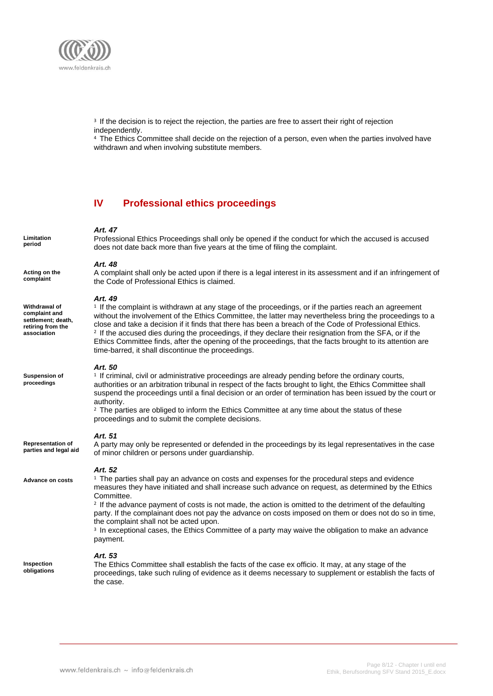

<sup>3</sup> If the decision is to reject the rejection, the parties are free to assert their right of rejection independently.

<sup>4</sup> The Ethics Committee shall decide on the rejection of a person, even when the parties involved have withdrawn and when involving substitute members.

# **IV Professional ethics proceedings**

# *Art. 47*

Professional Ethics Proceedings shall only be opened if the conduct for which the accused is accused does not date back more than five years at the time of filing the complaint.

#### *Art. 48*

A complaint shall only be acted upon if there is a legal interest in its assessment and if an infringement of the Code of Professional Ethics is claimed.

#### *Art. 49*

<sup>1</sup> If the complaint is withdrawn at any stage of the proceedings, or if the parties reach an agreement without the involvement of the Ethics Committee, the latter may nevertheless bring the proceedings to a close and take a decision if it finds that there has been a breach of the Code of Professional Ethics. <sup>2</sup> If the accused dies during the proceedings, if they declare their resignation from the SFA, or if the Ethics Committee finds, after the opening of the proceedings, that the facts brought to its attention are time-barred, it shall discontinue the proceedings.

#### *Art. 50*

<sup>1</sup> If criminal, civil or administrative proceedings are already pending before the ordinary courts, authorities or an arbitration tribunal in respect of the facts brought to light, the Ethics Committee shall suspend the proceedings until a final decision or an order of termination has been issued by the court or authority.

<sup>2</sup> The parties are obliged to inform the Ethics Committee at any time about the status of these proceedings and to submit the complete decisions.

#### *Art. 51*

A party may only be represented or defended in the proceedings by its legal representatives in the case of minor children or persons under guardianship. **Representation of parties and legal aid**

#### *Art. 52*

**Advance on costs**

<sup>1</sup> The parties shall pay an advance on costs and expenses for the procedural steps and evidence measures they have initiated and shall increase such advance on request, as determined by the Ethics Committee.

<sup>2</sup> If the advance payment of costs is not made, the action is omitted to the detriment of the defaulting party. If the complainant does not pay the advance on costs imposed on them or does not do so in time, the complaint shall not be acted upon.

<sup>3</sup> In exceptional cases, the Ethics Committee of a party may waive the obligation to make an advance payment.

#### *Art. 53*

**Inspection obligations**

The Ethics Committee shall establish the facts of the case ex officio. It may, at any stage of the proceedings, take such ruling of evidence as it deems necessary to supplement or establish the facts of the case.

**Limitation period**

**Withdrawal of complaint and settlement; death, retiring from the association**

**Suspension of proceedings**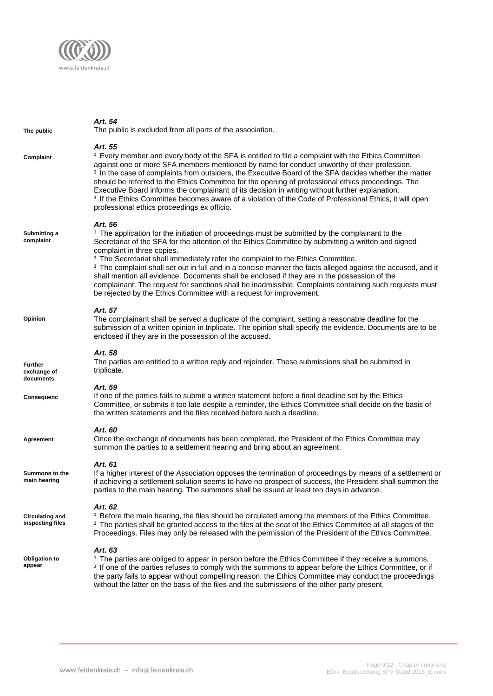

| The public                                 | Art. 54<br>The public is excluded from all parts of the association.                                                                                                                                                                                                                                                                                                                                                                                                                                                                                                                                                                                                                                                                                                 |
|--------------------------------------------|----------------------------------------------------------------------------------------------------------------------------------------------------------------------------------------------------------------------------------------------------------------------------------------------------------------------------------------------------------------------------------------------------------------------------------------------------------------------------------------------------------------------------------------------------------------------------------------------------------------------------------------------------------------------------------------------------------------------------------------------------------------------|
| Complaint                                  | Art. 55<br><sup>1</sup> Every member and every body of the SFA is entitled to file a complaint with the Ethics Committee<br>against one or more SFA members mentioned by name for conduct unworthy of their profession.<br><sup>2</sup> In the case of complaints from outsiders, the Executive Board of the SFA decides whether the matter<br>should be referred to the Ethics Committee for the opening of professional ethics proceedings. The<br>Executive Board informs the complainant of its decision in writing without further explanation.<br><sup>3</sup> If the Ethics Committee becomes aware of a violation of the Code of Professional Ethics, it will open<br>professional ethics proceedings ex officio.                                            |
| Submitting a<br>complaint                  | Art. 56<br><sup>1</sup> The application for the initiation of proceedings must be submitted by the complainant to the<br>Secretariat of the SFA for the attention of the Ethics Committee by submitting a written and signed<br>complaint in three copies.<br><sup>2</sup> The Secretariat shall immediately refer the complaint to the Ethics Committee.<br><sup>3</sup> The complaint shall set out in full and in a concise manner the facts alleged against the accused, and it<br>shall mention all evidence. Documents shall be enclosed if they are in the possession of the<br>complainant. The request for sanctions shall be inadmissible. Complaints containing such requests must<br>be rejected by the Ethics Committee with a request for improvement. |
| Opinion                                    | Art. 57<br>The complainant shall be served a duplicate of the complaint, setting a reasonable deadline for the<br>submission of a written opinion in triplicate. The opinion shall specify the evidence. Documents are to be<br>enclosed if they are in the possession of the accused.                                                                                                                                                                                                                                                                                                                                                                                                                                                                               |
| <b>Further</b><br>exchange of<br>documents | Art. 58<br>The parties are entitled to a written reply and rejoinder. These submissions shall be submitted in<br>triplicate.                                                                                                                                                                                                                                                                                                                                                                                                                                                                                                                                                                                                                                         |
| Consequenc                                 | Art. 59<br>If one of the parties fails to submit a written statement before a final deadline set by the Ethics<br>Committee, or submits it too late despite a reminder, the Ethics Committee shall decide on the basis of<br>the written statements and the files received before such a deadline.                                                                                                                                                                                                                                                                                                                                                                                                                                                                   |
| Agreement                                  | Art. 60<br>Once the exchange of documents has been completed, the President of the Ethics Committee may<br>summon the parties to a settlement hearing and bring about an agreement.                                                                                                                                                                                                                                                                                                                                                                                                                                                                                                                                                                                  |
| Summons to the<br>main hearing             | Art. 61<br>If a higher interest of the Association opposes the termination of proceedings by means of a settlement or<br>if achieving a settlement solution seems to have no prospect of success, the President shall summon the<br>parties to the main hearing. The summons shall be issued at least ten days in advance.                                                                                                                                                                                                                                                                                                                                                                                                                                           |
| <b>Circulating and</b><br>inspecting files | Art. 62<br><sup>1</sup> Before the main hearing, the files should be circulated among the members of the Ethics Committee.<br><sup>2</sup> The parties shall be granted access to the files at the seat of the Ethics Committee at all stages of the<br>Proceedings. Files may only be released with the permission of the President of the Ethics Committee.                                                                                                                                                                                                                                                                                                                                                                                                        |
| <b>Obligation to</b><br>appear             | Art. 63<br><sup>1</sup> The parties are obliged to appear in person before the Ethics Committee if they receive a summons.<br><sup>2</sup> If one of the parties refuses to comply with the summons to appear before the Ethics Committee, or if<br>the party fails to appear without compelling reason, the Ethics Committee may conduct the proceedings                                                                                                                                                                                                                                                                                                                                                                                                            |

without the latter on the basis of the files and the submissions of the other party present.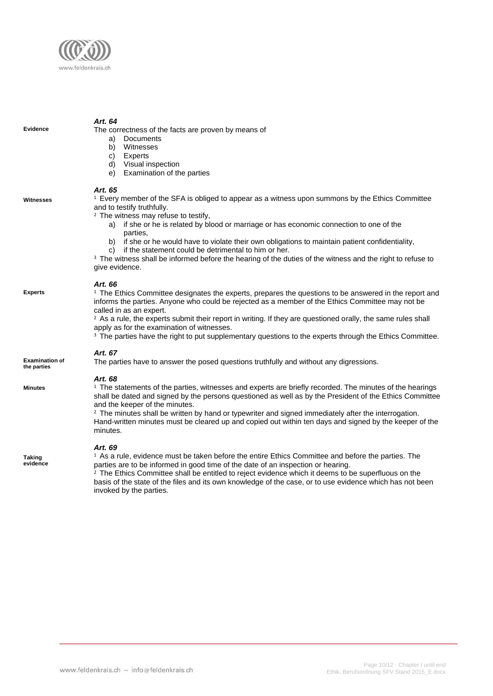

*Art. 64* The correctness of the facts are proven by means of a) Documents b) Witnesses c) Experts d) Visual inspection e) Examination of the parties *Art. 65* <sup>1</sup> Every member of the SFA is obliged to appear as a witness upon summons by the Ethics Committee and to testify truthfully. <sup>2</sup> The witness may refuse to testify. a) if she or he is related by blood or marriage or has economic connection to one of the parties, b) if she or he would have to violate their own obligations to maintain patient confidentiality, c) if the statement could be detrimental to him or her. <sup>3</sup> The witness shall be informed before the hearing of the duties of the witness and the right to refuse to give evidence. *Art. 66*  $1$  The Ethics Committee designates the experts, prepares the questions to be answered in the report and informs the parties. Anyone who could be rejected as a member of the Ethics Committee may not be called in as an expert. <sup>2</sup> As a rule, the experts submit their report in writing. If they are questioned orally, the same rules shall apply as for the examination of witnesses. <sup>3</sup> The parties have the right to put supplementary questions to the experts through the Ethics Committee. *Art. 67* The parties have to answer the posed questions truthfully and without any digressions. *Art. 68*  $1$  The statements of the parties, witnesses and experts are briefly recorded. The minutes of the hearings shall be dated and signed by the persons questioned as well as by the President of the Ethics Committee and the keeper of the minutes. <sup>2</sup> The minutes shall be written by hand or typewriter and signed immediately after the interrogation. Hand-written minutes must be cleared up and copied out within ten days and signed by the keeper of the minutes. *Art. 69* <sup>1</sup> As a rule, evidence must be taken before the entire Ethics Committee and before the parties. The **Evidence Witnesses Experts Examination of the parties Taking Minutes**

parties are to be informed in good time of the date of an inspection or hearing.

<sup>2</sup> The Ethics Committee shall be entitled to reject evidence which it deems to be superfluous on the basis of the state of the files and its own knowledge of the case, or to use evidence which has not been

**evidence**

invoked by the parties.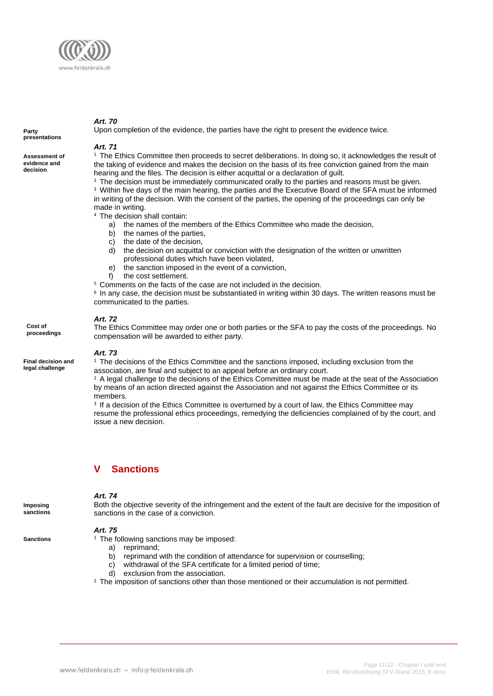

**Party presentations**

**Assessment of evidence and decision**

#### *Art. 71*

Upon completion of the evidence, the parties have the right to present the evidence twice.

#### <sup>1</sup> The Ethics Committee then proceeds to secret deliberations. In doing so, it acknowledges the result of the taking of evidence and makes the decision on the basis of its free conviction gained from the main hearing and the files. The decision is either acquittal or a declaration of guilt.

<sup>2</sup> The decision must be immediately communicated orally to the parties and reasons must be given. <sup>3</sup> Within five days of the main hearing, the parties and the Executive Board of the SFA must be informed in writing of the decision. With the consent of the parties, the opening of the proceedings can only be made in writing.

- <sup>4</sup> The decision shall contain:
	- a) the names of the members of the Ethics Committee who made the decision,
	- b) the names of the parties,
	- c) the date of the decision,
	- d) the decision on acquittal or conviction with the designation of the written or unwritten professional duties which have been violated,
	- e) the sanction imposed in the event of a conviction,
	- f) the cost settlement.
- <sup>5</sup> Comments on the facts of the case are not included in the decision.

6 In any case, the decision must be substantiated in writing within 30 days. The written reasons must be communicated to the parties.

#### *Art. 72*

The Ethics Committee may order one or both parties or the SFA to pay the costs of the proceedings. No compensation will be awarded to either party.

#### *Art. 73*

 $1$  The decisions of the Ethics Committee and the sanctions imposed, including exclusion from the association, are final and subject to an appeal before an ordinary court.

 $2$  A legal challenge to the decisions of the Ethics Committee must be made at the seat of the Association by means of an action directed against the Association and not against the Ethics Committee or its members.

<sup>3</sup> If a decision of the Ethics Committee is overturned by a court of law, the Ethics Committee may resume the professional ethics proceedings, remedying the deficiencies complained of by the court, and issue a new decision.

# **Sanctions**

#### *Art. 74*

Both the objective severity of the infringement and the extent of the fault are decisive for the imposition of sanctions in the case of a conviction.

#### *Art. 75*

- $1$  The following sanctions may be imposed:
	- a) reprimand;
	- b) reprimand with the condition of attendance for supervision or counselling;
	- c) withdrawal of the SFA certificate for a limited period of time;
	- d) exclusion from the association.
- <sup>2</sup> The imposition of sanctions other than those mentioned or their accumulation is not permitted.

**proceedings**

**Cost of** 

#### **Final decision and legal challenge**

**Imposing sanctions**

**Sanctions**